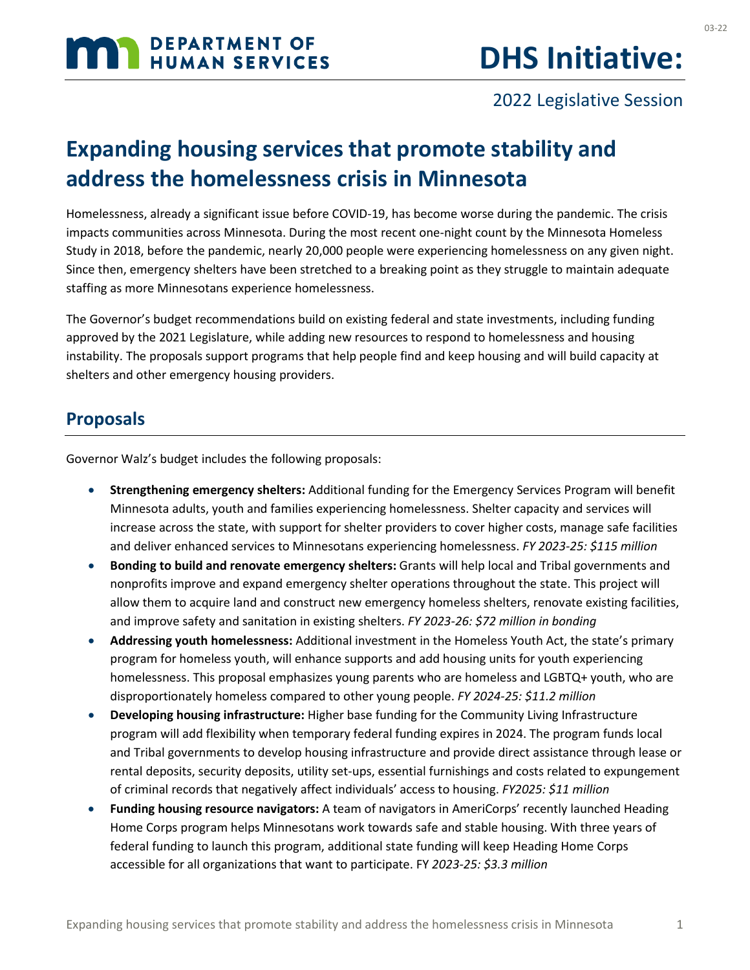# **MAN DEPARTMENT OF HUMAN SERVICES**

03-22

### 2022 Legislative Session

# **Expanding housing services that promote stability and address the homelessness crisis in Minnesota**

Homelessness, already a significant issue before COVID-19, has become worse during the pandemic. The crisis impacts communities across Minnesota. During the most recent one-night count by the Minnesota Homeless Study in 2018, before the pandemic, nearly 20,000 people were experiencing homelessness on any given night. Since then, emergency shelters have been stretched to a breaking point as they struggle to maintain adequate staffing as more Minnesotans experience homelessness.

The Governor's budget recommendations build on existing federal and state investments, including funding approved by the 2021 Legislature, while adding new resources to respond to homelessness and housing instability. The proposals support programs that help people find and keep housing and will build capacity at shelters and other emergency housing providers.

#### **Proposals**

Governor Walz's budget includes the following proposals:

- **Strengthening emergency shelters:** Additional funding for the Emergency Services Program will benefit Minnesota adults, youth and families experiencing homelessness. Shelter capacity and services will increase across the state, with support for shelter providers to cover higher costs, manage safe facilities and deliver enhanced services to Minnesotans experiencing homelessness. *FY 2023-25: \$115 million*
- **Bonding to build and renovate emergency shelters:** Grants will help local and Tribal governments and nonprofits improve and expand emergency shelter operations throughout the state. This project will allow them to acquire land and construct new emergency homeless shelters, renovate existing facilities, and improve safety and sanitation in existing shelters. *FY 2023-26: \$72 million in bonding*
- **Addressing youth homelessness:** Additional investment in the Homeless Youth Act, the state's primary program for homeless youth, will enhance supports and add housing units for youth experiencing homelessness. This proposal emphasizes young parents who are homeless and LGBTQ+ youth, who are disproportionately homeless compared to other young people. *FY 2024-25: \$11.2 million*
- **Developing housing infrastructure:** Higher base funding for the Community Living Infrastructure program will add flexibility when temporary federal funding expires in 2024. The program funds local and Tribal governments to develop housing infrastructure and provide direct assistance through lease or rental deposits, security deposits, utility set-ups, essential furnishings and costs related to expungement of criminal records that negatively affect individuals' access to housing. *FY2025: \$11 million*
- **Funding housing resource navigators:** A team of navigators in AmeriCorps' recently launched Heading Home Corps program helps Minnesotans work towards safe and stable housing. With three years of federal funding to launch this program, additional state funding will keep Heading Home Corps accessible for all organizations that want to participate. FY *2023-25: \$3.3 million*